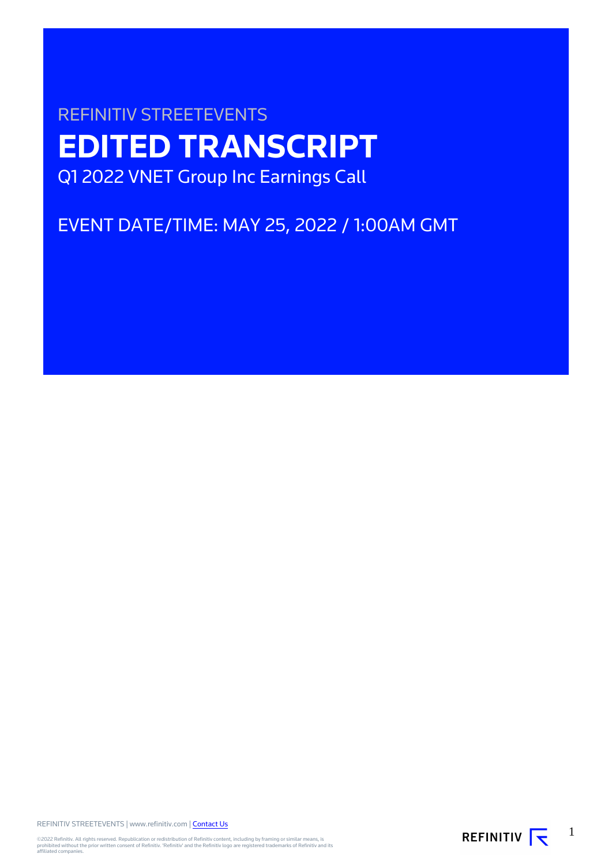# REFINITIV STREETEVENTS **EDITED TRANSCRIPT** Q1 2022 VNET Group Inc Earnings Call

EVENT DATE/TIME: MAY 25, 2022 / 1:00AM GMT

REFINITIV STREETEVENTS | www.refinitiv.com | [Contact Us](https://www.refinitiv.com/en/contact-us)

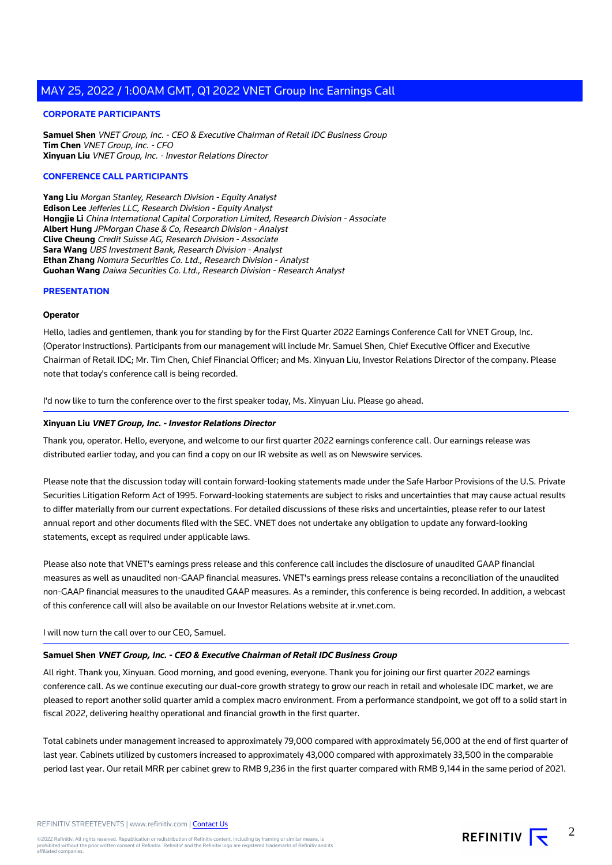#### **CORPORATE PARTICIPANTS**

**Samuel Shen** VNET Group, Inc. - CEO & Executive Chairman of Retail IDC Business Group **Tim Chen** VNET Group, Inc. - CFO **Xinyuan Liu** VNET Group, Inc. - Investor Relations Director

#### **CONFERENCE CALL PARTICIPANTS**

**Yang Liu** Morgan Stanley, Research Division - Equity Analyst **Edison Lee** Jefferies LLC, Research Division - Equity Analyst **Hongjie Li** China International Capital Corporation Limited, Research Division - Associate **Albert Hung** JPMorgan Chase & Co, Research Division - Analyst **Clive Cheung** Credit Suisse AG, Research Division - Associate **Sara Wang** UBS Investment Bank, Research Division - Analyst **Ethan Zhang** Nomura Securities Co. Ltd., Research Division - Analyst **Guohan Wang** Daiwa Securities Co. Ltd., Research Division - Research Analyst

#### **PRESENTATION**

#### **Operator**

Hello, ladies and gentlemen, thank you for standing by for the First Quarter 2022 Earnings Conference Call for VNET Group, Inc. (Operator Instructions). Participants from our management will include Mr. Samuel Shen, Chief Executive Officer and Executive Chairman of Retail IDC; Mr. Tim Chen, Chief Financial Officer; and Ms. Xinyuan Liu, Investor Relations Director of the company. Please note that today's conference call is being recorded.

I'd now like to turn the conference over to the first speaker today, Ms. Xinyuan Liu. Please go ahead.

#### **Xinyuan Liu VNET Group, Inc. - Investor Relations Director**

Thank you, operator. Hello, everyone, and welcome to our first quarter 2022 earnings conference call. Our earnings release was distributed earlier today, and you can find a copy on our IR website as well as on Newswire services.

Please note that the discussion today will contain forward-looking statements made under the Safe Harbor Provisions of the U.S. Private Securities Litigation Reform Act of 1995. Forward-looking statements are subject to risks and uncertainties that may cause actual results to differ materially from our current expectations. For detailed discussions of these risks and uncertainties, please refer to our latest annual report and other documents filed with the SEC. VNET does not undertake any obligation to update any forward-looking statements, except as required under applicable laws.

Please also note that VNET's earnings press release and this conference call includes the disclosure of unaudited GAAP financial measures as well as unaudited non-GAAP financial measures. VNET's earnings press release contains a reconciliation of the unaudited non-GAAP financial measures to the unaudited GAAP measures. As a reminder, this conference is being recorded. In addition, a webcast of this conference call will also be available on our Investor Relations website at ir.vnet.com.

#### I will now turn the call over to our CEO, Samuel.

#### **Samuel Shen VNET Group, Inc. - CEO & Executive Chairman of Retail IDC Business Group**

All right. Thank you, Xinyuan. Good morning, and good evening, everyone. Thank you for joining our first quarter 2022 earnings conference call. As we continue executing our dual-core growth strategy to grow our reach in retail and wholesale IDC market, we are pleased to report another solid quarter amid a complex macro environment. From a performance standpoint, we got off to a solid start in fiscal 2022, delivering healthy operational and financial growth in the first quarter.

Total cabinets under management increased to approximately 79,000 compared with approximately 56,000 at the end of first quarter of last year. Cabinets utilized by customers increased to approximately 43,000 compared with approximately 33,500 in the comparable period last year. Our retail MRR per cabinet grew to RMB 9,236 in the first quarter compared with RMB 9,144 in the same period of 2021.

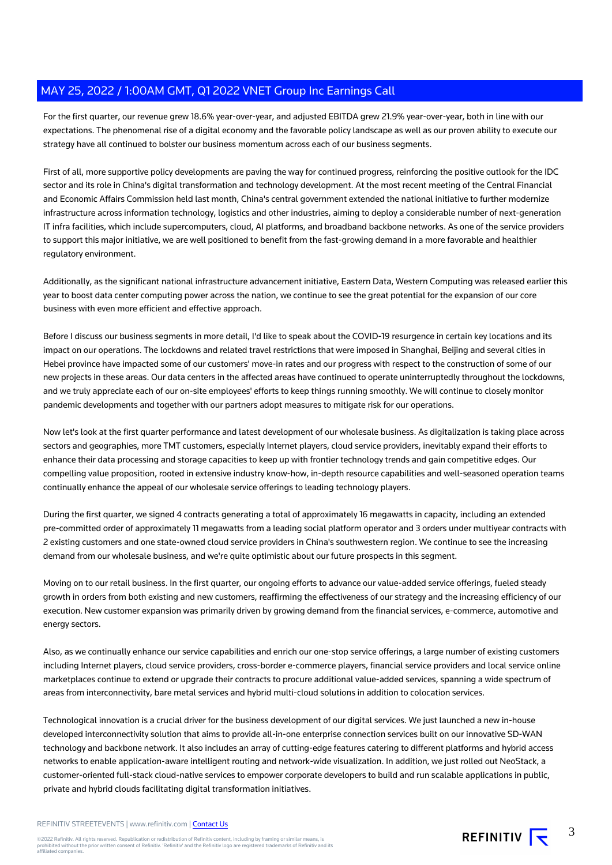For the first quarter, our revenue grew 18.6% year-over-year, and adjusted EBITDA grew 21.9% year-over-year, both in line with our expectations. The phenomenal rise of a digital economy and the favorable policy landscape as well as our proven ability to execute our strategy have all continued to bolster our business momentum across each of our business segments.

First of all, more supportive policy developments are paving the way for continued progress, reinforcing the positive outlook for the IDC sector and its role in China's digital transformation and technology development. At the most recent meeting of the Central Financial and Economic Affairs Commission held last month, China's central government extended the national initiative to further modernize infrastructure across information technology, logistics and other industries, aiming to deploy a considerable number of next-generation IT infra facilities, which include supercomputers, cloud, AI platforms, and broadband backbone networks. As one of the service providers to support this major initiative, we are well positioned to benefit from the fast-growing demand in a more favorable and healthier regulatory environment.

Additionally, as the significant national infrastructure advancement initiative, Eastern Data, Western Computing was released earlier this year to boost data center computing power across the nation, we continue to see the great potential for the expansion of our core business with even more efficient and effective approach.

Before I discuss our business segments in more detail, I'd like to speak about the COVID-19 resurgence in certain key locations and its impact on our operations. The lockdowns and related travel restrictions that were imposed in Shanghai, Beijing and several cities in Hebei province have impacted some of our customers' move-in rates and our progress with respect to the construction of some of our new projects in these areas. Our data centers in the affected areas have continued to operate uninterruptedly throughout the lockdowns, and we truly appreciate each of our on-site employees' efforts to keep things running smoothly. We will continue to closely monitor pandemic developments and together with our partners adopt measures to mitigate risk for our operations.

Now let's look at the first quarter performance and latest development of our wholesale business. As digitalization is taking place across sectors and geographies, more TMT customers, especially Internet players, cloud service providers, inevitably expand their efforts to enhance their data processing and storage capacities to keep up with frontier technology trends and gain competitive edges. Our compelling value proposition, rooted in extensive industry know-how, in-depth resource capabilities and well-seasoned operation teams continually enhance the appeal of our wholesale service offerings to leading technology players.

During the first quarter, we signed 4 contracts generating a total of approximately 16 megawatts in capacity, including an extended pre-committed order of approximately 11 megawatts from a leading social platform operator and 3 orders under multiyear contracts with 2 existing customers and one state-owned cloud service providers in China's southwestern region. We continue to see the increasing demand from our wholesale business, and we're quite optimistic about our future prospects in this segment.

Moving on to our retail business. In the first quarter, our ongoing efforts to advance our value-added service offerings, fueled steady growth in orders from both existing and new customers, reaffirming the effectiveness of our strategy and the increasing efficiency of our execution. New customer expansion was primarily driven by growing demand from the financial services, e-commerce, automotive and energy sectors.

Also, as we continually enhance our service capabilities and enrich our one-stop service offerings, a large number of existing customers including Internet players, cloud service providers, cross-border e-commerce players, financial service providers and local service online marketplaces continue to extend or upgrade their contracts to procure additional value-added services, spanning a wide spectrum of areas from interconnectivity, bare metal services and hybrid multi-cloud solutions in addition to colocation services.

Technological innovation is a crucial driver for the business development of our digital services. We just launched a new in-house developed interconnectivity solution that aims to provide all-in-one enterprise connection services built on our innovative SD-WAN technology and backbone network. It also includes an array of cutting-edge features catering to different platforms and hybrid access networks to enable application-aware intelligent routing and network-wide visualization. In addition, we just rolled out NeoStack, a customer-oriented full-stack cloud-native services to empower corporate developers to build and run scalable applications in public, private and hybrid clouds facilitating digital transformation initiatives.

REFINITIV STREETEVENTS | www.refinitiv.com | [Contact Us](https://www.refinitiv.com/en/contact-us)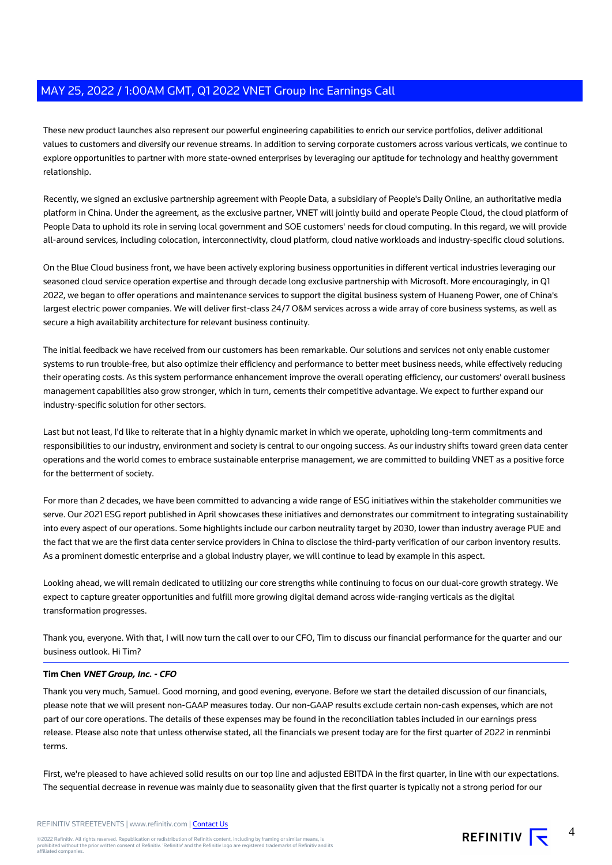These new product launches also represent our powerful engineering capabilities to enrich our service portfolios, deliver additional values to customers and diversify our revenue streams. In addition to serving corporate customers across various verticals, we continue to explore opportunities to partner with more state-owned enterprises by leveraging our aptitude for technology and healthy government relationship.

Recently, we signed an exclusive partnership agreement with People Data, a subsidiary of People's Daily Online, an authoritative media platform in China. Under the agreement, as the exclusive partner, VNET will jointly build and operate People Cloud, the cloud platform of People Data to uphold its role in serving local government and SOE customers' needs for cloud computing. In this regard, we will provide all-around services, including colocation, interconnectivity, cloud platform, cloud native workloads and industry-specific cloud solutions.

On the Blue Cloud business front, we have been actively exploring business opportunities in different vertical industries leveraging our seasoned cloud service operation expertise and through decade long exclusive partnership with Microsoft. More encouragingly, in Q1 2022, we began to offer operations and maintenance services to support the digital business system of Huaneng Power, one of China's largest electric power companies. We will deliver first-class 24/7 O&M services across a wide array of core business systems, as well as secure a high availability architecture for relevant business continuity.

The initial feedback we have received from our customers has been remarkable. Our solutions and services not only enable customer systems to run trouble-free, but also optimize their efficiency and performance to better meet business needs, while effectively reducing their operating costs. As this system performance enhancement improve the overall operating efficiency, our customers' overall business management capabilities also grow stronger, which in turn, cements their competitive advantage. We expect to further expand our industry-specific solution for other sectors.

Last but not least, I'd like to reiterate that in a highly dynamic market in which we operate, upholding long-term commitments and responsibilities to our industry, environment and society is central to our ongoing success. As our industry shifts toward green data center operations and the world comes to embrace sustainable enterprise management, we are committed to building VNET as a positive force for the betterment of society.

For more than 2 decades, we have been committed to advancing a wide range of ESG initiatives within the stakeholder communities we serve. Our 2021 ESG report published in April showcases these initiatives and demonstrates our commitment to integrating sustainability into every aspect of our operations. Some highlights include our carbon neutrality target by 2030, lower than industry average PUE and the fact that we are the first data center service providers in China to disclose the third-party verification of our carbon inventory results. As a prominent domestic enterprise and a global industry player, we will continue to lead by example in this aspect.

Looking ahead, we will remain dedicated to utilizing our core strengths while continuing to focus on our dual-core growth strategy. We expect to capture greater opportunities and fulfill more growing digital demand across wide-ranging verticals as the digital transformation progresses.

Thank you, everyone. With that, I will now turn the call over to our CFO, Tim to discuss our financial performance for the quarter and our business outlook. Hi Tim?

# **Tim Chen VNET Group, Inc. - CFO**

Thank you very much, Samuel. Good morning, and good evening, everyone. Before we start the detailed discussion of our financials, please note that we will present non-GAAP measures today. Our non-GAAP results exclude certain non-cash expenses, which are not part of our core operations. The details of these expenses may be found in the reconciliation tables included in our earnings press release. Please also note that unless otherwise stated, all the financials we present today are for the first quarter of 2022 in renminbi terms.

First, we're pleased to have achieved solid results on our top line and adjusted EBITDA in the first quarter, in line with our expectations. The sequential decrease in revenue was mainly due to seasonality given that the first quarter is typically not a strong period for our

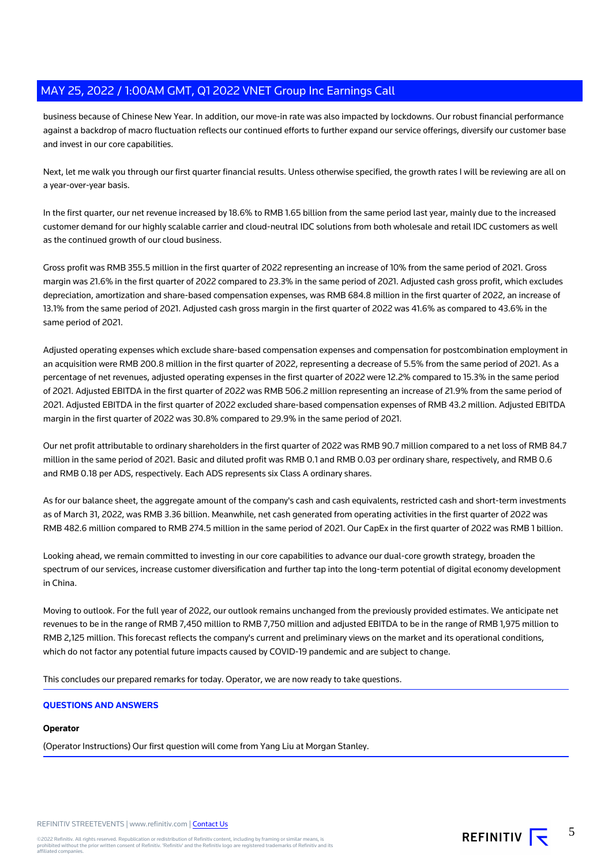business because of Chinese New Year. In addition, our move-in rate was also impacted by lockdowns. Our robust financial performance against a backdrop of macro fluctuation reflects our continued efforts to further expand our service offerings, diversify our customer base and invest in our core capabilities.

Next, let me walk you through our first quarter financial results. Unless otherwise specified, the growth rates I will be reviewing are all on a year-over-year basis.

In the first quarter, our net revenue increased by 18.6% to RMB 1.65 billion from the same period last year, mainly due to the increased customer demand for our highly scalable carrier and cloud-neutral IDC solutions from both wholesale and retail IDC customers as well as the continued growth of our cloud business.

Gross profit was RMB 355.5 million in the first quarter of 2022 representing an increase of 10% from the same period of 2021. Gross margin was 21.6% in the first quarter of 2022 compared to 23.3% in the same period of 2021. Adjusted cash gross profit, which excludes depreciation, amortization and share-based compensation expenses, was RMB 684.8 million in the first quarter of 2022, an increase of 13.1% from the same period of 2021. Adjusted cash gross margin in the first quarter of 2022 was 41.6% as compared to 43.6% in the same period of 2021.

Adjusted operating expenses which exclude share-based compensation expenses and compensation for postcombination employment in an acquisition were RMB 200.8 million in the first quarter of 2022, representing a decrease of 5.5% from the same period of 2021. As a percentage of net revenues, adjusted operating expenses in the first quarter of 2022 were 12.2% compared to 15.3% in the same period of 2021. Adjusted EBITDA in the first quarter of 2022 was RMB 506.2 million representing an increase of 21.9% from the same period of 2021. Adjusted EBITDA in the first quarter of 2022 excluded share-based compensation expenses of RMB 43.2 million. Adjusted EBITDA margin in the first quarter of 2022 was 30.8% compared to 29.9% in the same period of 2021.

Our net profit attributable to ordinary shareholders in the first quarter of 2022 was RMB 90.7 million compared to a net loss of RMB 84.7 million in the same period of 2021. Basic and diluted profit was RMB 0.1 and RMB 0.03 per ordinary share, respectively, and RMB 0.6 and RMB 0.18 per ADS, respectively. Each ADS represents six Class A ordinary shares.

As for our balance sheet, the aggregate amount of the company's cash and cash equivalents, restricted cash and short-term investments as of March 31, 2022, was RMB 3.36 billion. Meanwhile, net cash generated from operating activities in the first quarter of 2022 was RMB 482.6 million compared to RMB 274.5 million in the same period of 2021. Our CapEx in the first quarter of 2022 was RMB 1 billion.

Looking ahead, we remain committed to investing in our core capabilities to advance our dual-core growth strategy, broaden the spectrum of our services, increase customer diversification and further tap into the long-term potential of digital economy development in China.

Moving to outlook. For the full year of 2022, our outlook remains unchanged from the previously provided estimates. We anticipate net revenues to be in the range of RMB 7,450 million to RMB 7,750 million and adjusted EBITDA to be in the range of RMB 1,975 million to RMB 2,125 million. This forecast reflects the company's current and preliminary views on the market and its operational conditions, which do not factor any potential future impacts caused by COVID-19 pandemic and are subject to change.

This concludes our prepared remarks for today. Operator, we are now ready to take questions.

# **QUESTIONS AND ANSWERS**

# **Operator**

(Operator Instructions) Our first question will come from Yang Liu at Morgan Stanley.

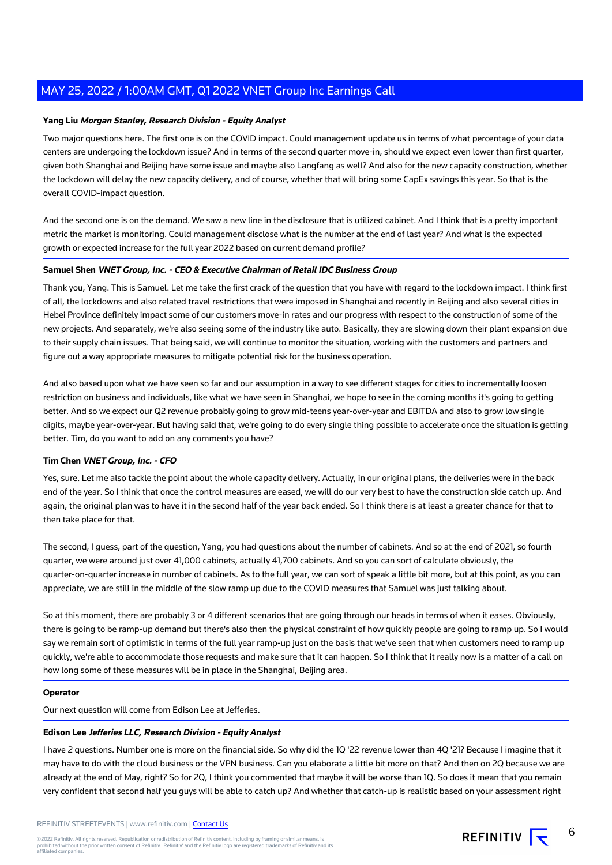#### **Yang Liu Morgan Stanley, Research Division - Equity Analyst**

Two major questions here. The first one is on the COVID impact. Could management update us in terms of what percentage of your data centers are undergoing the lockdown issue? And in terms of the second quarter move-in, should we expect even lower than first quarter, given both Shanghai and Beijing have some issue and maybe also Langfang as well? And also for the new capacity construction, whether the lockdown will delay the new capacity delivery, and of course, whether that will bring some CapEx savings this year. So that is the overall COVID-impact question.

And the second one is on the demand. We saw a new line in the disclosure that is utilized cabinet. And I think that is a pretty important metric the market is monitoring. Could management disclose what is the number at the end of last year? And what is the expected growth or expected increase for the full year 2022 based on current demand profile?

#### **Samuel Shen VNET Group, Inc. - CEO & Executive Chairman of Retail IDC Business Group**

Thank you, Yang. This is Samuel. Let me take the first crack of the question that you have with regard to the lockdown impact. I think first of all, the lockdowns and also related travel restrictions that were imposed in Shanghai and recently in Beijing and also several cities in Hebei Province definitely impact some of our customers move-in rates and our progress with respect to the construction of some of the new projects. And separately, we're also seeing some of the industry like auto. Basically, they are slowing down their plant expansion due to their supply chain issues. That being said, we will continue to monitor the situation, working with the customers and partners and figure out a way appropriate measures to mitigate potential risk for the business operation.

And also based upon what we have seen so far and our assumption in a way to see different stages for cities to incrementally loosen restriction on business and individuals, like what we have seen in Shanghai, we hope to see in the coming months it's going to getting better. And so we expect our Q2 revenue probably going to grow mid-teens year-over-year and EBITDA and also to grow low single digits, maybe year-over-year. But having said that, we're going to do every single thing possible to accelerate once the situation is getting better. Tim, do you want to add on any comments you have?

#### **Tim Chen VNET Group, Inc. - CFO**

Yes, sure. Let me also tackle the point about the whole capacity delivery. Actually, in our original plans, the deliveries were in the back end of the year. So I think that once the control measures are eased, we will do our very best to have the construction side catch up. And again, the original plan was to have it in the second half of the year back ended. So I think there is at least a greater chance for that to then take place for that.

The second, I guess, part of the question, Yang, you had questions about the number of cabinets. And so at the end of 2021, so fourth quarter, we were around just over 41,000 cabinets, actually 41,700 cabinets. And so you can sort of calculate obviously, the quarter-on-quarter increase in number of cabinets. As to the full year, we can sort of speak a little bit more, but at this point, as you can appreciate, we are still in the middle of the slow ramp up due to the COVID measures that Samuel was just talking about.

So at this moment, there are probably 3 or 4 different scenarios that are going through our heads in terms of when it eases. Obviously, there is going to be ramp-up demand but there's also then the physical constraint of how quickly people are going to ramp up. So I would say we remain sort of optimistic in terms of the full year ramp-up just on the basis that we've seen that when customers need to ramp up quickly, we're able to accommodate those requests and make sure that it can happen. So I think that it really now is a matter of a call on how long some of these measures will be in place in the Shanghai, Beijing area.

#### **Operator**

Our next question will come from Edison Lee at Jefferies.

#### **Edison Lee Jefferies LLC, Research Division - Equity Analyst**

I have 2 questions. Number one is more on the financial side. So why did the 1Q '22 revenue lower than 4Q '21? Because I imagine that it may have to do with the cloud business or the VPN business. Can you elaborate a little bit more on that? And then on 2Q because we are already at the end of May, right? So for 2Q, I think you commented that maybe it will be worse than 1Q. So does it mean that you remain very confident that second half you guys will be able to catch up? And whether that catch-up is realistic based on your assessment right

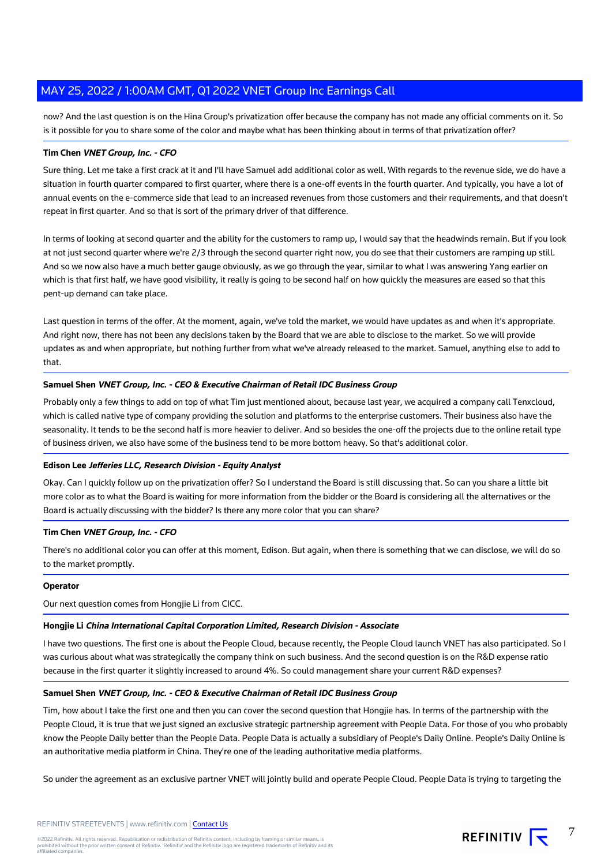now? And the last question is on the Hina Group's privatization offer because the company has not made any official comments on it. So is it possible for you to share some of the color and maybe what has been thinking about in terms of that privatization offer?

#### **Tim Chen VNET Group, Inc. - CFO**

Sure thing. Let me take a first crack at it and I'll have Samuel add additional color as well. With regards to the revenue side, we do have a situation in fourth quarter compared to first quarter, where there is a one-off events in the fourth quarter. And typically, you have a lot of annual events on the e-commerce side that lead to an increased revenues from those customers and their requirements, and that doesn't repeat in first quarter. And so that is sort of the primary driver of that difference.

In terms of looking at second quarter and the ability for the customers to ramp up, I would say that the headwinds remain. But if you look at not just second quarter where we're 2/3 through the second quarter right now, you do see that their customers are ramping up still. And so we now also have a much better gauge obviously, as we go through the year, similar to what I was answering Yang earlier on which is that first half, we have good visibility, it really is going to be second half on how quickly the measures are eased so that this pent-up demand can take place.

Last question in terms of the offer. At the moment, again, we've told the market, we would have updates as and when it's appropriate. And right now, there has not been any decisions taken by the Board that we are able to disclose to the market. So we will provide updates as and when appropriate, but nothing further from what we've already released to the market. Samuel, anything else to add to that.

# **Samuel Shen VNET Group, Inc. - CEO & Executive Chairman of Retail IDC Business Group**

Probably only a few things to add on top of what Tim just mentioned about, because last year, we acquired a company call Tenxcloud, which is called native type of company providing the solution and platforms to the enterprise customers. Their business also have the seasonality. It tends to be the second half is more heavier to deliver. And so besides the one-off the projects due to the online retail type of business driven, we also have some of the business tend to be more bottom heavy. So that's additional color.

# **Edison Lee Jefferies LLC, Research Division - Equity Analyst**

Okay. Can I quickly follow up on the privatization offer? So I understand the Board is still discussing that. So can you share a little bit more color as to what the Board is waiting for more information from the bidder or the Board is considering all the alternatives or the Board is actually discussing with the bidder? Is there any more color that you can share?

#### **Tim Chen VNET Group, Inc. - CFO**

There's no additional color you can offer at this moment, Edison. But again, when there is something that we can disclose, we will do so to the market promptly.

#### **Operator**

Our next question comes from Hongjie Li from CICC.

#### **Hongjie Li China International Capital Corporation Limited, Research Division - Associate**

I have two questions. The first one is about the People Cloud, because recently, the People Cloud launch VNET has also participated. So I was curious about what was strategically the company think on such business. And the second question is on the R&D expense ratio because in the first quarter it slightly increased to around 4%. So could management share your current R&D expenses?

#### **Samuel Shen VNET Group, Inc. - CEO & Executive Chairman of Retail IDC Business Group**

Tim, how about I take the first one and then you can cover the second question that Hongjie has. In terms of the partnership with the People Cloud, it is true that we just signed an exclusive strategic partnership agreement with People Data. For those of you who probably know the People Daily better than the People Data. People Data is actually a subsidiary of People's Daily Online. People's Daily Online is an authoritative media platform in China. They're one of the leading authoritative media platforms.

So under the agreement as an exclusive partner VNET will jointly build and operate People Cloud. People Data is trying to targeting the

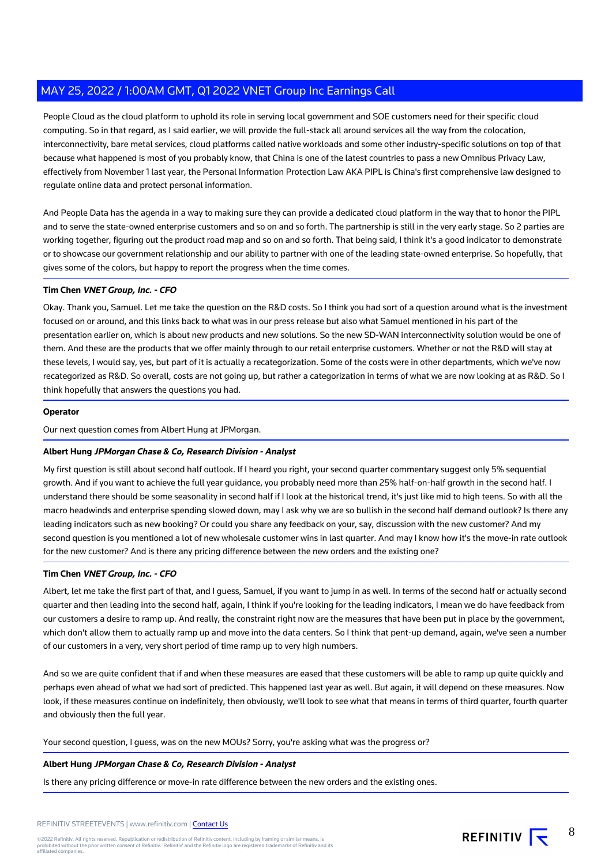People Cloud as the cloud platform to uphold its role in serving local government and SOE customers need for their specific cloud computing. So in that regard, as I said earlier, we will provide the full-stack all around services all the way from the colocation, interconnectivity, bare metal services, cloud platforms called native workloads and some other industry-specific solutions on top of that because what happened is most of you probably know, that China is one of the latest countries to pass a new Omnibus Privacy Law, effectively from November 1 last year, the Personal Information Protection Law AKA PIPL is China's first comprehensive law designed to regulate online data and protect personal information.

And People Data has the agenda in a way to making sure they can provide a dedicated cloud platform in the way that to honor the PIPL and to serve the state-owned enterprise customers and so on and so forth. The partnership is still in the very early stage. So 2 parties are working together, figuring out the product road map and so on and so forth. That being said, I think it's a good indicator to demonstrate or to showcase our government relationship and our ability to partner with one of the leading state-owned enterprise. So hopefully, that gives some of the colors, but happy to report the progress when the time comes.

# **Tim Chen VNET Group, Inc. - CFO**

Okay. Thank you, Samuel. Let me take the question on the R&D costs. So I think you had sort of a question around what is the investment focused on or around, and this links back to what was in our press release but also what Samuel mentioned in his part of the presentation earlier on, which is about new products and new solutions. So the new SD-WAN interconnectivity solution would be one of them. And these are the products that we offer mainly through to our retail enterprise customers. Whether or not the R&D will stay at these levels, I would say, yes, but part of it is actually a recategorization. Some of the costs were in other departments, which we've now recategorized as R&D. So overall, costs are not going up, but rather a categorization in terms of what we are now looking at as R&D. So I think hopefully that answers the questions you had.

#### **Operator**

Our next question comes from Albert Hung at JPMorgan.

# **Albert Hung JPMorgan Chase & Co, Research Division - Analyst**

My first question is still about second half outlook. If I heard you right, your second quarter commentary suggest only 5% sequential growth. And if you want to achieve the full year guidance, you probably need more than 25% half-on-half growth in the second half. I understand there should be some seasonality in second half if I look at the historical trend, it's just like mid to high teens. So with all the macro headwinds and enterprise spending slowed down, may I ask why we are so bullish in the second half demand outlook? Is there any leading indicators such as new booking? Or could you share any feedback on your, say, discussion with the new customer? And my second question is you mentioned a lot of new wholesale customer wins in last quarter. And may I know how it's the move-in rate outlook for the new customer? And is there any pricing difference between the new orders and the existing one?

# **Tim Chen VNET Group, Inc. - CFO**

Albert, let me take the first part of that, and I guess, Samuel, if you want to jump in as well. In terms of the second half or actually second quarter and then leading into the second half, again, I think if you're looking for the leading indicators, I mean we do have feedback from our customers a desire to ramp up. And really, the constraint right now are the measures that have been put in place by the government, which don't allow them to actually ramp up and move into the data centers. So I think that pent-up demand, again, we've seen a number of our customers in a very, very short period of time ramp up to very high numbers.

And so we are quite confident that if and when these measures are eased that these customers will be able to ramp up quite quickly and perhaps even ahead of what we had sort of predicted. This happened last year as well. But again, it will depend on these measures. Now look, if these measures continue on indefinitely, then obviously, we'll look to see what that means in terms of third quarter, fourth quarter and obviously then the full year.

Your second question, I guess, was on the new MOUs? Sorry, you're asking what was the progress or?

# **Albert Hung JPMorgan Chase & Co, Research Division - Analyst**

Is there any pricing difference or move-in rate difference between the new orders and the existing ones.

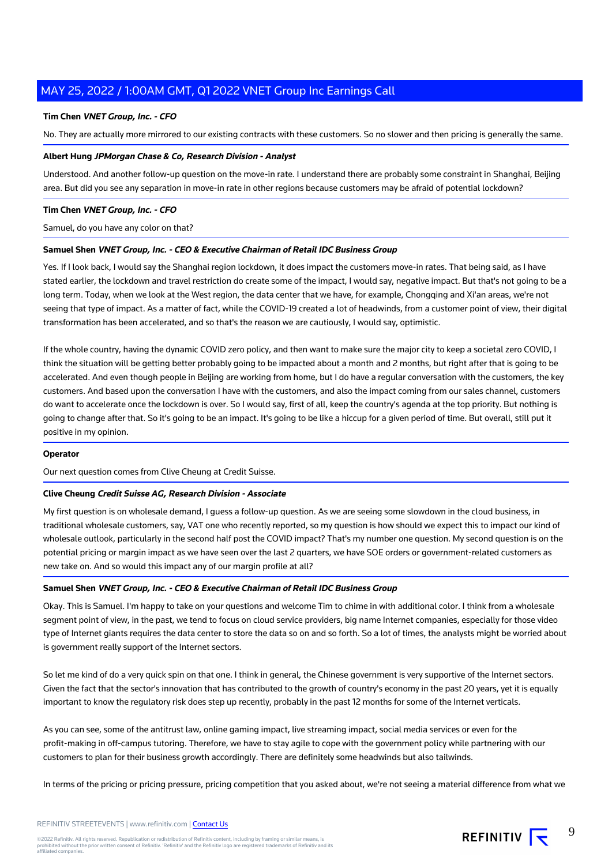# **Tim Chen VNET Group, Inc. - CFO**

No. They are actually more mirrored to our existing contracts with these customers. So no slower and then pricing is generally the same.

#### **Albert Hung JPMorgan Chase & Co, Research Division - Analyst**

Understood. And another follow-up question on the move-in rate. I understand there are probably some constraint in Shanghai, Beijing area. But did you see any separation in move-in rate in other regions because customers may be afraid of potential lockdown?

#### **Tim Chen VNET Group, Inc. - CFO**

Samuel, do you have any color on that?

#### **Samuel Shen VNET Group, Inc. - CEO & Executive Chairman of Retail IDC Business Group**

Yes. If I look back, I would say the Shanghai region lockdown, it does impact the customers move-in rates. That being said, as I have stated earlier, the lockdown and travel restriction do create some of the impact, I would say, negative impact. But that's not going to be a long term. Today, when we look at the West region, the data center that we have, for example, Chongqing and Xi'an areas, we're not seeing that type of impact. As a matter of fact, while the COVID-19 created a lot of headwinds, from a customer point of view, their digital transformation has been accelerated, and so that's the reason we are cautiously, I would say, optimistic.

If the whole country, having the dynamic COVID zero policy, and then want to make sure the major city to keep a societal zero COVID, I think the situation will be getting better probably going to be impacted about a month and 2 months, but right after that is going to be accelerated. And even though people in Beijing are working from home, but I do have a regular conversation with the customers, the key customers. And based upon the conversation I have with the customers, and also the impact coming from our sales channel, customers do want to accelerate once the lockdown is over. So I would say, first of all, keep the country's agenda at the top priority. But nothing is going to change after that. So it's going to be an impact. It's going to be like a hiccup for a given period of time. But overall, still put it positive in my opinion.

#### **Operator**

Our next question comes from Clive Cheung at Credit Suisse.

#### **Clive Cheung Credit Suisse AG, Research Division - Associate**

My first question is on wholesale demand, I guess a follow-up question. As we are seeing some slowdown in the cloud business, in traditional wholesale customers, say, VAT one who recently reported, so my question is how should we expect this to impact our kind of wholesale outlook, particularly in the second half post the COVID impact? That's my number one question. My second question is on the potential pricing or margin impact as we have seen over the last 2 quarters, we have SOE orders or government-related customers as new take on. And so would this impact any of our margin profile at all?

#### **Samuel Shen VNET Group, Inc. - CEO & Executive Chairman of Retail IDC Business Group**

Okay. This is Samuel. I'm happy to take on your questions and welcome Tim to chime in with additional color. I think from a wholesale segment point of view, in the past, we tend to focus on cloud service providers, big name Internet companies, especially for those video type of Internet giants requires the data center to store the data so on and so forth. So a lot of times, the analysts might be worried about is government really support of the Internet sectors.

So let me kind of do a very quick spin on that one. I think in general, the Chinese government is very supportive of the Internet sectors. Given the fact that the sector's innovation that has contributed to the growth of country's economy in the past 20 years, yet it is equally important to know the regulatory risk does step up recently, probably in the past 12 months for some of the Internet verticals.

As you can see, some of the antitrust law, online gaming impact, live streaming impact, social media services or even for the profit-making in off-campus tutoring. Therefore, we have to stay agile to cope with the government policy while partnering with our customers to plan for their business growth accordingly. There are definitely some headwinds but also tailwinds.

In terms of the pricing or pricing pressure, pricing competition that you asked about, we're not seeing a material difference from what we

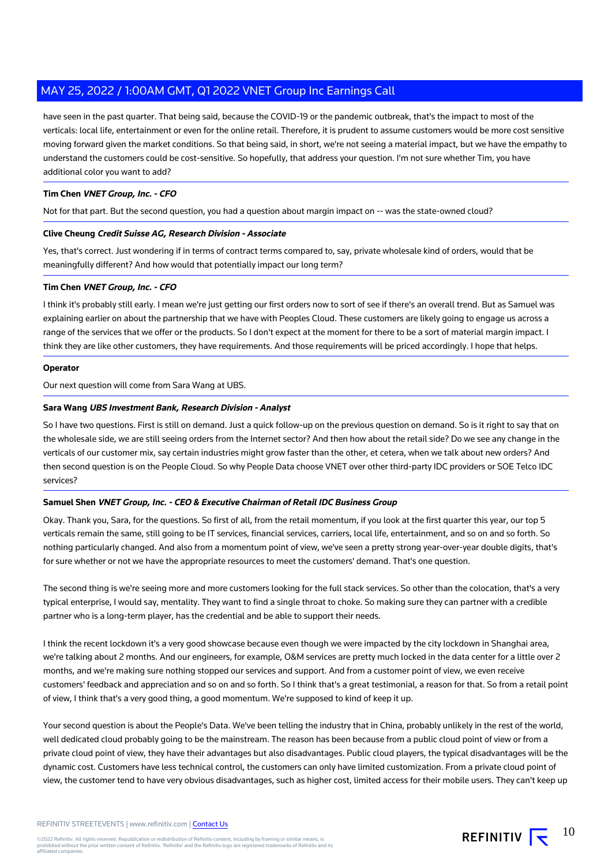have seen in the past quarter. That being said, because the COVID-19 or the pandemic outbreak, that's the impact to most of the verticals: local life, entertainment or even for the online retail. Therefore, it is prudent to assume customers would be more cost sensitive moving forward given the market conditions. So that being said, in short, we're not seeing a material impact, but we have the empathy to understand the customers could be cost-sensitive. So hopefully, that address your question. I'm not sure whether Tim, you have additional color you want to add?

# **Tim Chen VNET Group, Inc. - CFO**

Not for that part. But the second question, you had a question about margin impact on -- was the state-owned cloud?

# **Clive Cheung Credit Suisse AG, Research Division - Associate**

Yes, that's correct. Just wondering if in terms of contract terms compared to, say, private wholesale kind of orders, would that be meaningfully different? And how would that potentially impact our long term?

# **Tim Chen VNET Group, Inc. - CFO**

I think it's probably still early. I mean we're just getting our first orders now to sort of see if there's an overall trend. But as Samuel was explaining earlier on about the partnership that we have with Peoples Cloud. These customers are likely going to engage us across a range of the services that we offer or the products. So I don't expect at the moment for there to be a sort of material margin impact. I think they are like other customers, they have requirements. And those requirements will be priced accordingly. I hope that helps.

#### **Operator**

Our next question will come from Sara Wang at UBS.

#### **Sara Wang UBS Investment Bank, Research Division - Analyst**

So I have two questions. First is still on demand. Just a quick follow-up on the previous question on demand. So is it right to say that on the wholesale side, we are still seeing orders from the Internet sector? And then how about the retail side? Do we see any change in the verticals of our customer mix, say certain industries might grow faster than the other, et cetera, when we talk about new orders? And then second question is on the People Cloud. So why People Data choose VNET over other third-party IDC providers or SOE Telco IDC services?

# **Samuel Shen VNET Group, Inc. - CEO & Executive Chairman of Retail IDC Business Group**

Okay. Thank you, Sara, for the questions. So first of all, from the retail momentum, if you look at the first quarter this year, our top 5 verticals remain the same, still going to be IT services, financial services, carriers, local life, entertainment, and so on and so forth. So nothing particularly changed. And also from a momentum point of view, we've seen a pretty strong year-over-year double digits, that's for sure whether or not we have the appropriate resources to meet the customers' demand. That's one question.

The second thing is we're seeing more and more customers looking for the full stack services. So other than the colocation, that's a very typical enterprise, I would say, mentality. They want to find a single throat to choke. So making sure they can partner with a credible partner who is a long-term player, has the credential and be able to support their needs.

I think the recent lockdown it's a very good showcase because even though we were impacted by the city lockdown in Shanghai area, we're talking about 2 months. And our engineers, for example, O&M services are pretty much locked in the data center for a little over 2 months, and we're making sure nothing stopped our services and support. And from a customer point of view, we even receive customers' feedback and appreciation and so on and so forth. So I think that's a great testimonial, a reason for that. So from a retail point of view, I think that's a very good thing, a good momentum. We're supposed to kind of keep it up.

Your second question is about the People's Data. We've been telling the industry that in China, probably unlikely in the rest of the world, well dedicated cloud probably going to be the mainstream. The reason has been because from a public cloud point of view or from a private cloud point of view, they have their advantages but also disadvantages. Public cloud players, the typical disadvantages will be the dynamic cost. Customers have less technical control, the customers can only have limited customization. From a private cloud point of view, the customer tend to have very obvious disadvantages, such as higher cost, limited access for their mobile users. They can't keep up

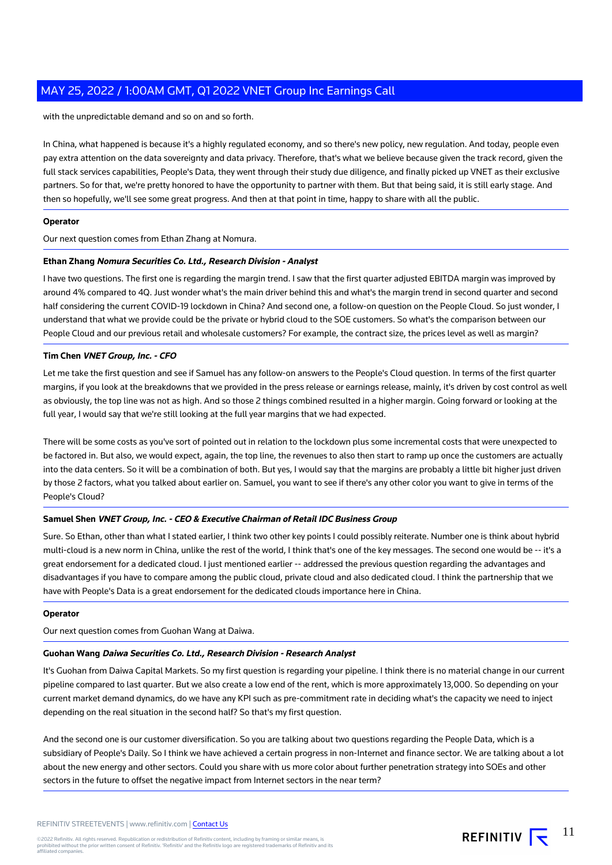with the unpredictable demand and so on and so forth.

In China, what happened is because it's a highly regulated economy, and so there's new policy, new regulation. And today, people even pay extra attention on the data sovereignty and data privacy. Therefore, that's what we believe because given the track record, given the full stack services capabilities, People's Data, they went through their study due diligence, and finally picked up VNET as their exclusive partners. So for that, we're pretty honored to have the opportunity to partner with them. But that being said, it is still early stage. And then so hopefully, we'll see some great progress. And then at that point in time, happy to share with all the public.

#### **Operator**

Our next question comes from Ethan Zhang at Nomura.

#### **Ethan Zhang Nomura Securities Co. Ltd., Research Division - Analyst**

I have two questions. The first one is regarding the margin trend. I saw that the first quarter adjusted EBITDA margin was improved by around 4% compared to 4Q. Just wonder what's the main driver behind this and what's the margin trend in second quarter and second half considering the current COVID-19 lockdown in China? And second one, a follow-on question on the People Cloud. So just wonder, I understand that what we provide could be the private or hybrid cloud to the SOE customers. So what's the comparison between our People Cloud and our previous retail and wholesale customers? For example, the contract size, the prices level as well as margin?

# **Tim Chen VNET Group, Inc. - CFO**

Let me take the first question and see if Samuel has any follow-on answers to the People's Cloud question. In terms of the first quarter margins, if you look at the breakdowns that we provided in the press release or earnings release, mainly, it's driven by cost control as well as obviously, the top line was not as high. And so those 2 things combined resulted in a higher margin. Going forward or looking at the full year, I would say that we're still looking at the full year margins that we had expected.

There will be some costs as you've sort of pointed out in relation to the lockdown plus some incremental costs that were unexpected to be factored in. But also, we would expect, again, the top line, the revenues to also then start to ramp up once the customers are actually into the data centers. So it will be a combination of both. But yes, I would say that the margins are probably a little bit higher just driven by those 2 factors, what you talked about earlier on. Samuel, you want to see if there's any other color you want to give in terms of the People's Cloud?

# **Samuel Shen VNET Group, Inc. - CEO & Executive Chairman of Retail IDC Business Group**

Sure. So Ethan, other than what I stated earlier, I think two other key points I could possibly reiterate. Number one is think about hybrid multi-cloud is a new norm in China, unlike the rest of the world, I think that's one of the key messages. The second one would be -- it's a great endorsement for a dedicated cloud. I just mentioned earlier -- addressed the previous question regarding the advantages and disadvantages if you have to compare among the public cloud, private cloud and also dedicated cloud. I think the partnership that we have with People's Data is a great endorsement for the dedicated clouds importance here in China.

#### **Operator**

Our next question comes from Guohan Wang at Daiwa.

# **Guohan Wang Daiwa Securities Co. Ltd., Research Division - Research Analyst**

It's Guohan from Daiwa Capital Markets. So my first question is regarding your pipeline. I think there is no material change in our current pipeline compared to last quarter. But we also create a low end of the rent, which is more approximately 13,000. So depending on your current market demand dynamics, do we have any KPI such as pre-commitment rate in deciding what's the capacity we need to inject depending on the real situation in the second half? So that's my first question.

And the second one is our customer diversification. So you are talking about two questions regarding the People Data, which is a subsidiary of People's Daily. So I think we have achieved a certain progress in non-Internet and finance sector. We are talking about a lot about the new energy and other sectors. Could you share with us more color about further penetration strategy into SOEs and other sectors in the future to offset the negative impact from Internet sectors in the near term?

11

REFINITIV  $\overline{\mathbf{r}}$ 

©2022 Refinitiv. All rights reserved. Republication or redistribution of Refinitiv content, including by framing or similar means, is<br>prohibited without the prior written consent of Refinitiv. 'Refinitiv' and the Refinitiv affiliated companies.